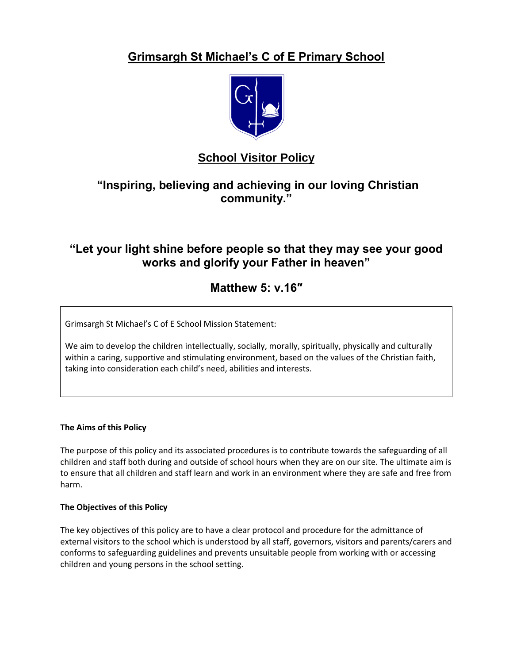# **Grimsargh St Michael's C of E Primary School**



# **School Visitor Policy**

# **"Inspiring, believing and achieving in our loving Christian community."**

# **"Let your light shine before people so that they may see your good works and glorify your Father in heaven"**

# **Matthew 5: v.16″**

Grimsargh St Michael's C of E School Mission Statement:

We aim to develop the children intellectually, socially, morally, spiritually, physically and culturally within a caring, supportive and stimulating environment, based on the values of the Christian faith, taking into consideration each child's need, abilities and interests.

## **The Aims of this Policy**

The purpose of this policy and its associated procedures is to contribute towards the safeguarding of all children and staff both during and outside of school hours when they are on our site. The ultimate aim is to ensure that all children and staff learn and work in an environment where they are safe and free from harm.

## **The Objectives of this Policy**

The key objectives of this policy are to have a clear protocol and procedure for the admittance of external visitors to the school which is understood by all staff, governors, visitors and parents/carers and conforms to safeguarding guidelines and prevents unsuitable people from working with or accessing children and young persons in the school setting.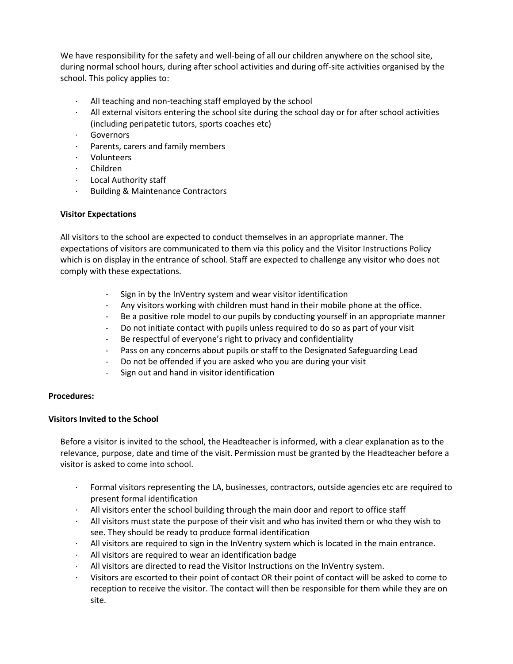We have responsibility for the safety and well-being of all our children anywhere on the school site, during normal school hours, during after school activities and during off-site activities organised by the school. This policy applies to:

- All teaching and non-teaching staff employed by the school
- · All external visitors entering the school site during the school day or for after school activities (including peripatetic tutors, sports coaches etc)
- · Governors
- Parents, carers and family members
- · Volunteers
- · Children
- · Local Authority staff
- · Building & Maintenance Contractors

#### **Visitor Expectations**

All visitors to the school are expected to conduct themselves in an appropriate manner. The expectations of visitors are communicated to them via this policy and the Visitor Instructions Policy which is on display in the entrance of school. Staff are expected to challenge any visitor who does not comply with these expectations.

- Sign in by the InVentry system and wear visitor identification
- Any visitors working with children must hand in their mobile phone at the office.
- Be a positive role model to our pupils by conducting yourself in an appropriate manner
- Do not initiate contact with pupils unless required to do so as part of your visit
- Be respectful of everyone's right to privacy and confidentiality
- Pass on any concerns about pupils or staff to the Designated Safeguarding Lead
- Do not be offended if you are asked who you are during your visit
- Sign out and hand in visitor identification

#### **Procedures:**

## **Visitors Invited to the School**

Before a visitor is invited to the school, the Headteacher is informed, with a clear explanation as to the relevance, purpose, date and time of the visit. Permission must be granted by the Headteacher before a visitor is asked to come into school.

- Formal visitors representing the LA, businesses, contractors, outside agencies etc are required to present formal identification
- · All visitors enter the school building through the main door and report to office staff
- · All visitors must state the purpose of their visit and who has invited them or who they wish to see. They should be ready to produce formal identification
- · All visitors are required to sign in the InVentry system which is located in the main entrance.
- · All visitors are required to wear an identification badge
- · All visitors are directed to read the Visitor Instructions on the InVentry system.
- · Visitors are escorted to their point of contact OR their point of contact will be asked to come to reception to receive the visitor. The contact will then be responsible for them while they are on site.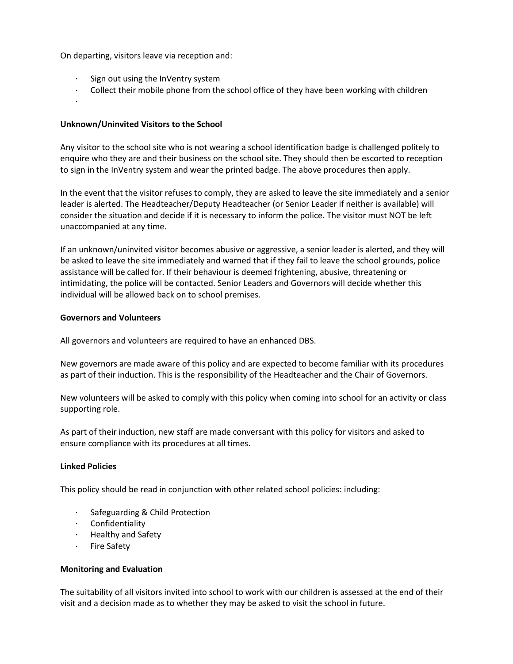On departing, visitors leave via reception and:

- Sign out using the InVentry system
- · Collect their mobile phone from the school office of they have been working with children
- ·

### **Unknown/Uninvited Visitors to the School**

Any visitor to the school site who is not wearing a school identification badge is challenged politely to enquire who they are and their business on the school site. They should then be escorted to reception to sign in the InVentry system and wear the printed badge. The above procedures then apply.

In the event that the visitor refuses to comply, they are asked to leave the site immediately and a senior leader is alerted. The Headteacher/Deputy Headteacher (or Senior Leader if neither is available) will consider the situation and decide if it is necessary to inform the police. The visitor must NOT be left unaccompanied at any time.

If an unknown/uninvited visitor becomes abusive or aggressive, a senior leader is alerted, and they will be asked to leave the site immediately and warned that if they fail to leave the school grounds, police assistance will be called for. If their behaviour is deemed frightening, abusive, threatening or intimidating, the police will be contacted. Senior Leaders and Governors will decide whether this individual will be allowed back on to school premises.

#### **Governors and Volunteers**

All governors and volunteers are required to have an enhanced DBS.

New governors are made aware of this policy and are expected to become familiar with its procedures as part of their induction. This is the responsibility of the Headteacher and the Chair of Governors.

New volunteers will be asked to comply with this policy when coming into school for an activity or class supporting role.

As part of their induction, new staff are made conversant with this policy for visitors and asked to ensure compliance with its procedures at all times.

## **Linked Policies**

This policy should be read in conjunction with other related school policies: including:

- Safeguarding & Child Protection
- · Confidentiality
- · Healthy and Safety
- · Fire Safety

#### **Monitoring and Evaluation**

The suitability of all visitors invited into school to work with our children is assessed at the end of their visit and a decision made as to whether they may be asked to visit the school in future.